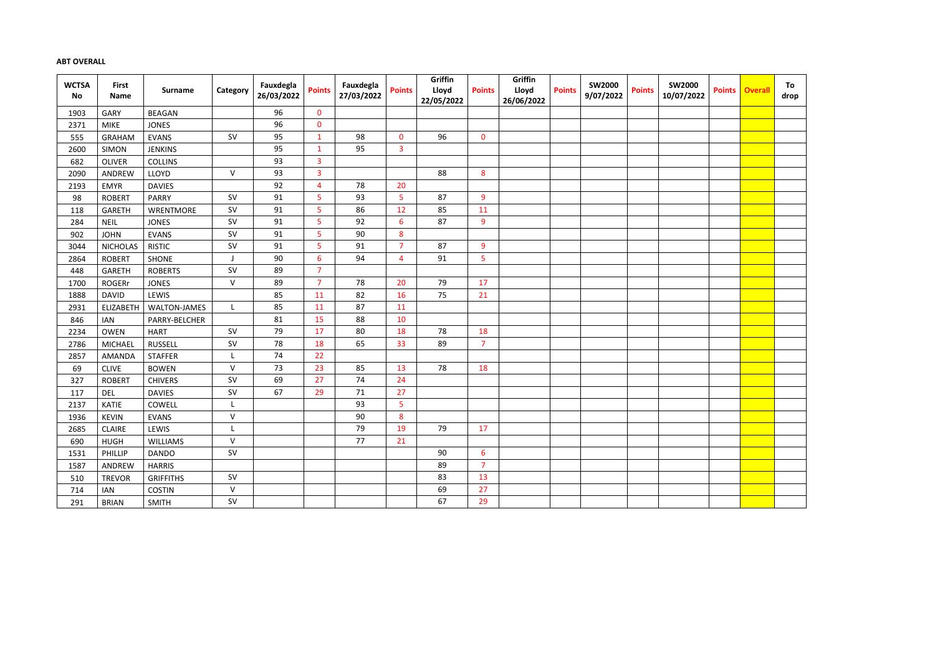## **ABT OVERALL**

| <b>WCTSA</b><br>No | <b>First</b><br><b>Name</b> | <b>Surname</b>      | Category     | Fauxdegla<br>26/03/2022 | <b>Points</b>  | Fauxdegla<br>27/03/2022 | <b>Points</b>  | Griffin<br>Lloyd<br>22/05/2022 | <b>Points</b>  | Griffin<br>Lloyd<br>26/06/2022 | <b>Points</b> | <b>SW2000</b><br>9/07/2022 | <b>Points</b> | <b>SW2000</b><br>10/07/2022 | <b>Points</b> | <b>Overall</b> | To<br>drop |
|--------------------|-----------------------------|---------------------|--------------|-------------------------|----------------|-------------------------|----------------|--------------------------------|----------------|--------------------------------|---------------|----------------------------|---------------|-----------------------------|---------------|----------------|------------|
| 1903               | GARY                        | <b>BEAGAN</b>       |              | 96                      | $\mathbf{0}$   |                         |                |                                |                |                                |               |                            |               |                             |               |                |            |
| 2371               | <b>MIKE</b>                 | <b>JONES</b>        |              | 96                      | $\bf{0}$       |                         |                |                                |                |                                |               |                            |               |                             |               |                |            |
| 555                | <b>GRAHAM</b>               | <b>EVANS</b>        | SV           | 95                      | $\mathbf{1}$   | 98                      | $\mathbf{0}$   | 96                             | $\mathbf 0$    |                                |               |                            |               |                             |               |                |            |
| 2600               | <b>SIMON</b>                | <b>JENKINS</b>      |              | 95                      | $\mathbf{1}$   | 95                      | $\overline{3}$ |                                |                |                                |               |                            |               |                             |               |                |            |
| 682                | <b>OLIVER</b>               | <b>COLLINS</b>      |              | 93                      | $\overline{3}$ |                         |                |                                |                |                                |               |                            |               |                             |               |                |            |
| 2090               | ANDREW                      | LLOYD               | $\vee$       | 93                      | $\overline{3}$ |                         |                | 88                             | 8              |                                |               |                            |               |                             |               |                |            |
| 2193               | <b>EMYR</b>                 | <b>DAVIES</b>       |              | 92                      | $\overline{4}$ | 78                      | 20             |                                |                |                                |               |                            |               |                             |               |                |            |
| 98                 | <b>ROBERT</b>               | <b>PARRY</b>        | <b>SV</b>    | 91                      | 5              | 93                      | 5              | 87                             | 9              |                                |               |                            |               |                             |               |                |            |
| 118                | <b>GARETH</b>               | WRENTMORE           | SV           | 91                      | 5              | 86                      | 12             | 85                             | 11             |                                |               |                            |               |                             |               |                |            |
| 284                | <b>NEIL</b>                 | <b>JONES</b>        | SV           | 91                      | 5              | 92                      | 6              | 87                             | 9              |                                |               |                            |               |                             |               |                |            |
| 902                | <b>JOHN</b>                 | <b>EVANS</b>        | <b>SV</b>    | 91                      | 5              | 90                      | 8              |                                |                |                                |               |                            |               |                             |               |                |            |
| 3044               | <b>NICHOLAS</b>             | <b>RISTIC</b>       | <b>SV</b>    | 91                      | 5              | 91                      | $\overline{7}$ | 87                             | $\overline{9}$ |                                |               |                            |               |                             |               |                |            |
| 2864               | <b>ROBERT</b>               | <b>SHONE</b>        |              | 90                      | $6\,$          | 94                      | $\overline{4}$ | 91                             | 5              |                                |               |                            |               |                             |               |                |            |
| 448                | <b>GARETH</b>               | <b>ROBERTS</b>      | SV           | 89                      | $\overline{7}$ |                         |                |                                |                |                                |               |                            |               |                             |               |                |            |
| 1700               | <b>ROGERr</b>               | <b>JONES</b>        | ${\sf V}$    | 89                      | $\overline{7}$ | 78                      | 20             | 79                             | 17             |                                |               |                            |               |                             |               |                |            |
| 1888               | <b>DAVID</b>                | LEWIS               |              | 85                      | 11             | 82                      | 16             | 75                             | 21             |                                |               |                            |               |                             |               |                |            |
| 2931               | <b>ELIZABETH</b>            | <b>WALTON-JAMES</b> |              | 85                      | 11             | 87                      | 11             |                                |                |                                |               |                            |               |                             |               |                |            |
| 846                | <b>IAN</b>                  | PARRY-BELCHER       |              | 81                      | 15             | 88                      | 10             |                                |                |                                |               |                            |               |                             |               |                |            |
| 2234               | OWEN                        | <b>HART</b>         | SV           | 79                      | 17             | 80                      | 18             | 78                             | 18             |                                |               |                            |               |                             |               |                |            |
| 2786               | <b>MICHAEL</b>              | <b>RUSSELL</b>      | <b>SV</b>    | 78                      | 18             | 65                      | 33             | 89                             | $\overline{7}$ |                                |               |                            |               |                             |               |                |            |
| 2857               | AMANDA                      | <b>STAFFER</b>      |              | 74                      | 22             |                         |                |                                |                |                                |               |                            |               |                             |               |                |            |
| 69                 | <b>CLIVE</b>                | <b>BOWEN</b>        | $\mathsf{V}$ | 73                      | 23             | 85                      | 13             | 78                             | 18             |                                |               |                            |               |                             |               |                |            |
| 327                | <b>ROBERT</b>               | <b>CHIVERS</b>      | <b>SV</b>    | 69                      | 27             | 74                      | 24             |                                |                |                                |               |                            |               |                             |               |                |            |
| 117                | <b>DEL</b>                  | <b>DAVIES</b>       | <b>SV</b>    | 67                      | 29             | 71                      | 27             |                                |                |                                |               |                            |               |                             |               |                |            |
| 2137               | <b>KATIE</b>                | COWELL              |              |                         |                | 93                      | 5              |                                |                |                                |               |                            |               |                             |               |                |            |
| 1936               | <b>KEVIN</b>                | <b>EVANS</b>        | $\vee$       |                         |                | 90                      | 8              |                                |                |                                |               |                            |               |                             |               |                |            |
| 2685               | <b>CLAIRE</b>               | LEWIS               |              |                         |                | 79                      | 19             | 79                             | 17             |                                |               |                            |               |                             |               |                |            |
| 690                | <b>HUGH</b>                 | <b>WILLIAMS</b>     | $\vee$       |                         |                | 77                      | 21             |                                |                |                                |               |                            |               |                             |               |                |            |
| 1531               | PHILLIP                     | <b>DANDO</b>        | <b>SV</b>    |                         |                |                         |                | 90                             | 6              |                                |               |                            |               |                             |               |                |            |
| 1587               | ANDREW                      | <b>HARRIS</b>       |              |                         |                |                         |                | 89                             | $\overline{7}$ |                                |               |                            |               |                             |               |                |            |
| 510                | <b>TREVOR</b>               | <b>GRIFFITHS</b>    | SV           |                         |                |                         |                | 83                             | 13             |                                |               |                            |               |                             |               |                |            |
| 714                | <b>IAN</b>                  | <b>COSTIN</b>       | $\mathsf{V}$ |                         |                |                         |                | 69                             | 27             |                                |               |                            |               |                             |               |                |            |
| 291                | <b>BRIAN</b>                | <b>SMITH</b>        | SV           |                         |                |                         |                | 67                             | 29             |                                |               |                            |               |                             |               |                |            |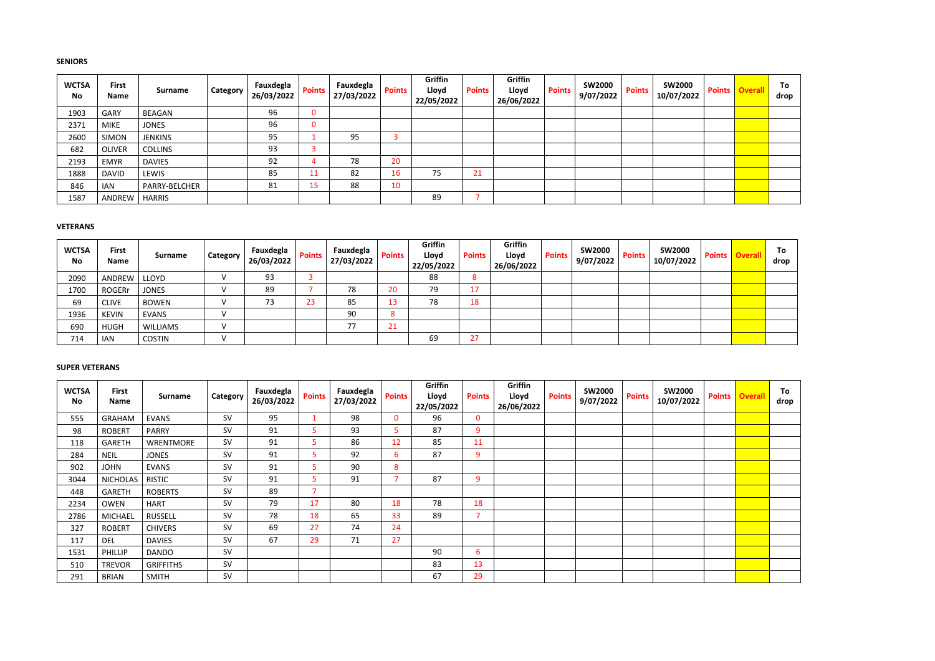## **SENIORS**

| <b>WCTSA</b><br><b>No</b> | <b>First</b><br><b>Name</b> | <b>Surname</b> | Category | Fauxdegla<br>26/03/2022 | <b>Points</b> | Fauxdegla<br>27/03/2022 | <b>Points</b> | Griffin<br>Lloyd<br>22/05/2022 | <b>Points</b> | Griffin<br>Lloyd<br>26/06/2022 | <b>Points</b> | <b>SW2000</b><br>9/07/2022 | <b>Points</b> | <b>SW2000</b><br>10/07/2022 | <b>Points</b> | <b>Overall</b> | To<br>drop |
|---------------------------|-----------------------------|----------------|----------|-------------------------|---------------|-------------------------|---------------|--------------------------------|---------------|--------------------------------|---------------|----------------------------|---------------|-----------------------------|---------------|----------------|------------|
| 1903                      | <b>GARY</b>                 | BEAGAN         |          | 96                      | 0             |                         |               |                                |               |                                |               |                            |               |                             |               |                |            |
| 2371                      | <b>MIKE</b>                 | <b>JONES</b>   |          | 96                      | 0             |                         |               |                                |               |                                |               |                            |               |                             |               |                |            |
| 2600                      | <b>SIMON</b>                | <b>JENKINS</b> |          | 95                      |               | 95                      |               |                                |               |                                |               |                            |               |                             |               |                |            |
| 682                       | <b>OLIVER</b>               | <b>COLLINS</b> |          | 93                      |               |                         |               |                                |               |                                |               |                            |               |                             |               |                |            |
| 2193                      | <b>EMYR</b>                 | <b>DAVIES</b>  |          | 92                      |               | 78                      | 20            |                                |               |                                |               |                            |               |                             |               |                |            |
| 1888                      | <b>DAVID</b>                | LEWIS          |          | 85                      |               | 82                      | 16            | 75                             | 21            |                                |               |                            |               |                             |               |                |            |
| 846                       | <b>IAN</b>                  | PARRY-BELCHER  |          | 81                      | ∡ວ⊹           | 88                      | 10            |                                |               |                                |               |                            |               |                             |               |                |            |
| 1587                      | ANDREW                      | <b>HARRIS</b>  |          |                         |               |                         |               | 89                             |               |                                |               |                            |               |                             |               |                |            |

## **VETERANS**

| <b>WCTSA</b><br>No | <b>First</b><br>Name | Surname         | Category | Fauxdegla<br>26/03/2022 | <b>Points</b> | Fauxdegla<br>27/03/2022 | <b>Points</b> | <b>Griffin</b><br>Lloyd<br>22/05/2022 | <b>Points</b> | Griffin<br>Lloyd<br>26/06/2022 | <b>Points</b> | <b>SW2000</b><br>9/07/2022 | <b>Points</b> | <b>SW2000</b><br>10/07/2022 | Points | <b>Overall</b> | To<br>drop |
|--------------------|----------------------|-----------------|----------|-------------------------|---------------|-------------------------|---------------|---------------------------------------|---------------|--------------------------------|---------------|----------------------------|---------------|-----------------------------|--------|----------------|------------|
| 2090               | ANDREW               | LLOYD           |          | 93                      |               |                         |               | 88                                    | -8            |                                |               |                            |               |                             |        |                |            |
| 1700               | <b>ROGERr</b>        | <b>JONES</b>    |          | 89                      |               | 78                      | 20            | 79                                    | 17            |                                |               |                            |               |                             |        |                |            |
| 69                 | <b>CLIVE</b>         | <b>BOWEN</b>    |          |                         | 23            | 85                      | 13            | 78                                    | 18            |                                |               |                            |               |                             |        |                |            |
| 1936               | <b>KEVIN</b>         | <b>EVANS</b>    |          |                         |               | 90                      |               |                                       |               |                                |               |                            |               |                             |        |                |            |
| 690                | <b>HUGH</b>          | <b>WILLIAMS</b> |          |                         |               | 77                      | 21            |                                       |               |                                |               |                            |               |                             |        |                |            |
| 714                | <b>IAN</b>           | <b>COSTIN</b>   |          |                         |               |                         |               | 69                                    | 27            |                                |               |                            |               |                             |        |                |            |

# **SUPER VETERANS**

| <b>WCTSA</b><br>No | <b>First</b><br>Name | <b>Surname</b>   | Category  | Fauxdegla<br>26/03/2022 | <b>Points</b> | Fauxdegla<br>27/03/2022 | <b>Points</b> | Griffin<br>Lloyd<br>22/05/2022 | <b>Points</b> | Griffin<br>Lloyd<br>26/06/2022 | <b>Points</b> | <b>SW2000</b><br>9/07/2022 | <b>Points</b> | <b>SW2000</b><br>10/07/2022 | Points | <b>Overall</b> | To<br>drop |
|--------------------|----------------------|------------------|-----------|-------------------------|---------------|-------------------------|---------------|--------------------------------|---------------|--------------------------------|---------------|----------------------------|---------------|-----------------------------|--------|----------------|------------|
| 555                | <b>GRAHAM</b>        | <b>EVANS</b>     | <b>SV</b> | 95                      |               | 98                      | $\mathbf{0}$  | 96                             | $\mathbf 0$   |                                |               |                            |               |                             |        |                |            |
| 98                 | <b>ROBERT</b>        | <b>PARRY</b>     | <b>SV</b> | 91                      | 5.            | 93                      | 5             | 87                             | 9             |                                |               |                            |               |                             |        |                |            |
| 118                | <b>GARETH</b>        | <b>WRENTMORE</b> | <b>SV</b> | 91                      | 5.            | 86                      | 12            | 85                             | 11            |                                |               |                            |               |                             |        |                |            |
| 284                | <b>NEIL</b>          | <b>JONES</b>     | SV        | 91                      | 5.            | 92                      | 6             | 87                             | 9             |                                |               |                            |               |                             |        |                |            |
| 902                | <b>JOHN</b>          | <b>EVANS</b>     | <b>SV</b> | 91                      | 5.            | 90                      | 8             |                                |               |                                |               |                            |               |                             |        |                |            |
| 3044               | <b>NICHOLAS</b>      | <b>RISTIC</b>    | <b>SV</b> | 91                      | 5.            | 91                      |               | 87                             | 9             |                                |               |                            |               |                             |        |                |            |
| 448                | <b>GARETH</b>        | <b>ROBERTS</b>   | <b>SV</b> | 89                      |               |                         |               |                                |               |                                |               |                            |               |                             |        |                |            |
| 2234               | <b>OWEN</b>          | <b>HART</b>      | <b>SV</b> | 79                      | 17            | 80                      | 18            | 78                             | 18            |                                |               |                            |               |                             |        |                |            |
| 2786               | <b>MICHAEL</b>       | <b>RUSSELL</b>   | <b>SV</b> | 78                      | 18            | 65                      | 33            | 89                             | 7             |                                |               |                            |               |                             |        |                |            |
| 327                | <b>ROBERT</b>        | <b>CHIVERS</b>   | <b>SV</b> | 69                      | 27            | 74                      | 24            |                                |               |                                |               |                            |               |                             |        |                |            |
| 117                | <b>DEL</b>           | <b>DAVIES</b>    | <b>SV</b> | 67                      | 29            | 71                      | 27            |                                |               |                                |               |                            |               |                             |        |                |            |
| 1531               | PHILLIP              | <b>DANDO</b>     | <b>SV</b> |                         |               |                         |               | 90                             | 6             |                                |               |                            |               |                             |        |                |            |
| 510                | <b>TREVOR</b>        | <b>GRIFFITHS</b> | SV        |                         |               |                         |               | 83                             | 13            |                                |               |                            |               |                             |        |                |            |
| 291                | <b>BRIAN</b>         | <b>SMITH</b>     | SV        |                         |               |                         |               | 67                             | 29            |                                |               |                            |               |                             |        |                |            |